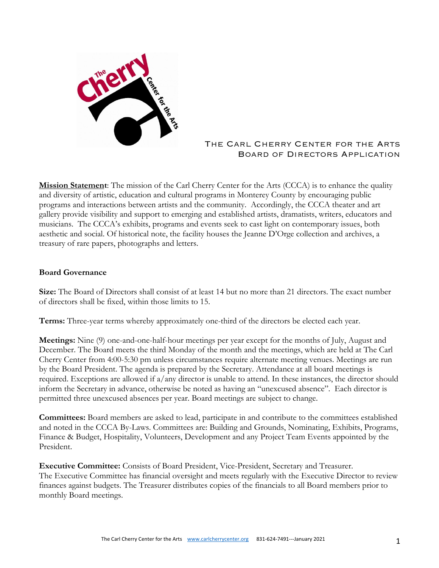

## The Carl Cherry Center for the Arts Board of Directors Application

**Mission Statement**: The mission of the Carl Cherry Center for the Arts (CCCA) is to enhance the quality and diversity of artistic, education and cultural programs in Monterey County by encouraging public programs and interactions between artists and the community. Accordingly, the CCCA theater and art gallery provide visibility and support to emerging and established artists, dramatists, writers, educators and musicians. The CCCA's exhibits, programs and events seek to cast light on contemporary issues, both aesthetic and social. Of historical note, the facility houses the Jeanne D'Orge collection and archives, a treasury of rare papers, photographs and letters.

## **Board Governance**

**Size:** The Board of Directors shall consist of at least 14 but no more than 21 directors. The exact number of directors shall be fixed, within those limits to 15.

**Terms:** Three-year terms whereby approximately one-third of the directors be elected each year.

**Meetings:** Nine (9) one-and-one-half-hour meetings per year except for the months of July, August and December. The Board meets the third Monday of the month and the meetings, which are held at The Carl Cherry Center from 4:00-5:30 pm unless circumstances require alternate meeting venues. Meetings are run by the Board President. The agenda is prepared by the Secretary. Attendance at all board meetings is required. Exceptions are allowed if a/any director is unable to attend. In these instances, the director should inform the Secretary in advance, otherwise be noted as having an "unexcused absence". Each director is permitted three unexcused absences per year. Board meetings are subject to change.

**Committees:** Board members are asked to lead, participate in and contribute to the committees established and noted in the CCCA By-Laws. Committees are: Building and Grounds, Nominating, Exhibits, Programs, Finance & Budget, Hospitality, Volunteers, Development and any Project Team Events appointed by the President.

**Executive Committee:** Consists of Board President, Vice-President, Secretary and Treasurer. The Executive Committee has financial oversight and meets regularly with the Executive Director to review finances against budgets. The Treasurer distributes copies of the financials to all Board members prior to monthly Board meetings.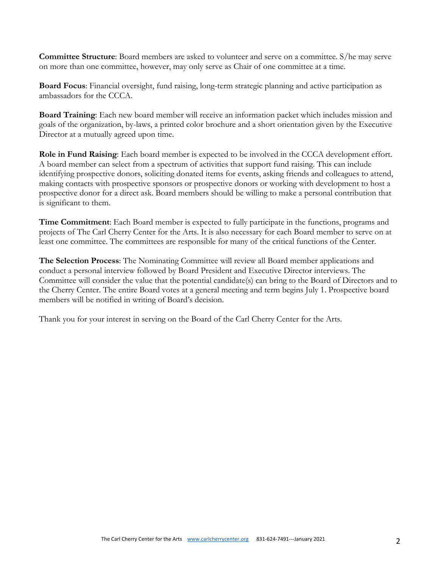**Committee Structure**: Board members are asked to volunteer and serve on a committee. S/he may serve on more than one committee, however, may only serve as Chair of one committee at a time.

**Board Focus**: Financial oversight, fund raising, long-term strategic planning and active participation as ambassadors for the CCCA.

**Board Training**: Each new board member will receive an information packet which includes mission and goals of the organization, by-laws, a printed color brochure and a short orientation given by the Executive Director at a mutually agreed upon time.

**Role in Fund Raising**: Each board member is expected to be involved in the CCCA development effort. A board member can select from a spectrum of activities that support fund raising. This can include identifying prospective donors, soliciting donated items for events, asking friends and colleagues to attend, making contacts with prospective sponsors or prospective donors or working with development to host a prospective donor for a direct ask. Board members should be willing to make a personal contribution that is significant to them.

**Time Commitment**: Each Board member is expected to fully participate in the functions, programs and projects of The Carl Cherry Center for the Arts. It is also necessary for each Board member to serve on at least one committee. The committees are responsible for many of the critical functions of the Center.

**The Selection Process**: The Nominating Committee will review all Board member applications and conduct a personal interview followed by Board President and Executive Director interviews. The Committee will consider the value that the potential candidate(s) can bring to the Board of Directors and to the Cherry Center. The entire Board votes at a general meeting and term begins July 1. Prospective board members will be notified in writing of Board's decision.

Thank you for your interest in serving on the Board of the Carl Cherry Center for the Arts.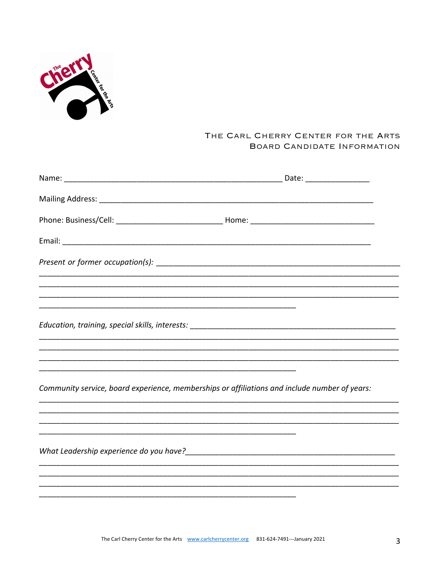

## THE CARL CHERRY CENTER FOR THE ARTS BOARD CANDIDATE INFORMATION

| Community service, board experience, memberships or affiliations and include number of years: |  |
|-----------------------------------------------------------------------------------------------|--|
|                                                                                               |  |
|                                                                                               |  |
|                                                                                               |  |
|                                                                                               |  |